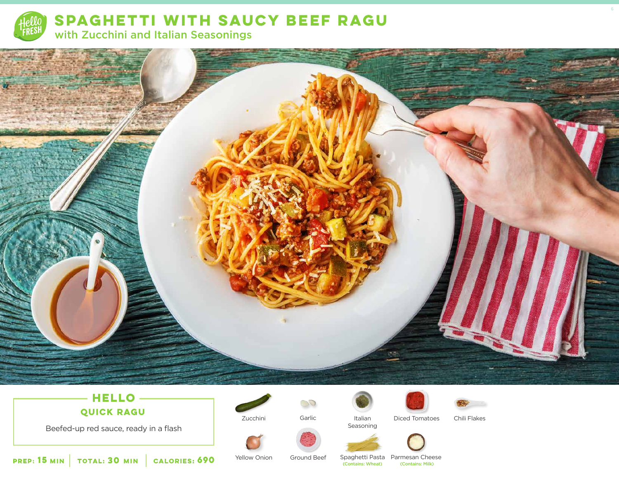

**SPAGHETTI WITH SAUCY BEEF RAGU** with Zucchini and Italian Seasonings



# **HELLO QUICK RAGU**

Beefed-up red sauce, ready in a flash



 $\mathcal{S}^{\circlearrowleft}$ Zucchini Garlic Italian





Chili Flakes



Seasoning



**15 30 MIN MIN CALORIES:**

Yellow Onion

**CALORIES: 690** Yellow Onion Ground Beef Spaghetti Pasta Parmesan Cheese **690** Yellow Onion Ground Beef Spaghetti Pasta Contains: Milk)